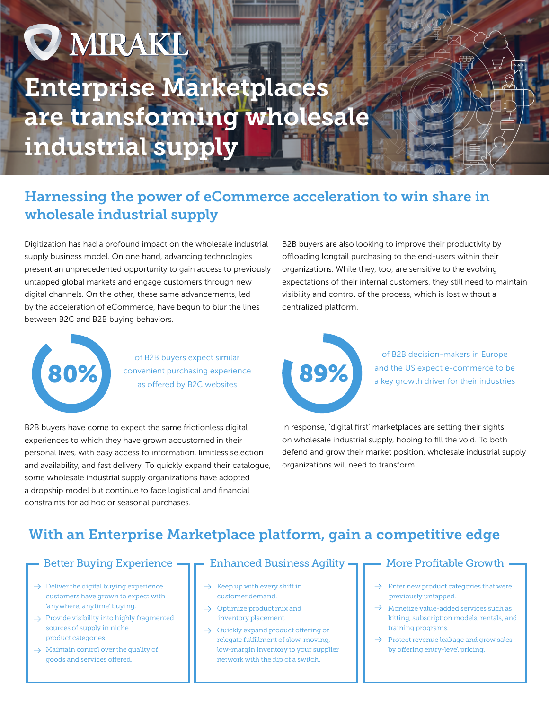# **O MIRAKL** Enterprise Marketplaces are transforming wholesale industrial supply

# Harnessing the power of eCommerce acceleration to win share in wholesale industrial supply

Digitization has had a profound impact on the wholesale industrial supply business model. On one hand, advancing technologies present an unprecedented opportunity to gain access to previously untapped global markets and engage customers through new digital channels. On the other, these same advancements, led by the acceleration of eCommerce, have begun to blur the lines between B2C and B2B buying behaviors.



of B2B buyers expect similar convenient purchasing experience<br>
as offered by B2C websites

B2B buyers have come to expect the same frictionless digital experiences to which they have grown accustomed in their personal lives, with easy access to information, limitless selection and availability, and fast delivery. To quickly expand their catalogue, some wholesale industrial supply organizations have adopted a dropship model but continue to face logistical and financial constraints for ad hoc or seasonal purchases.

B2B buyers are also looking to improve their productivity by offloading longtail purchasing to the end-users within their organizations. While they, too, are sensitive to the evolving expectations of their internal customers, they still need to maintain visibility and control of the process, which is lost without a centralized platform.



of B2B decision-makers in Europe and the US expect e-commerce to be a key growth driver for their industries

In response, 'digital first' marketplaces are setting their sights on wholesale industrial supply, hoping to fill the void. To both defend and grow their market position, wholesale industrial supply organizations will need to transform.

# With an Enterprise Marketplace platform, gain a competitive edge

## Better Buying Experience

- $\rightarrow$  Deliver the digital buying experience customers have grown to expect with 'anywhere, anytime' buying.
- $\rightarrow$  Provide visibility into highly fragmented sources of supply in niche product categories.
- $\rightarrow$  Maintain control over the quality of goods and services offered.

## **Enhanced Business Agility -**

- Keep up with every shift in customer demand.
- $\rightarrow$  Optimize product mix and inventory placement.
- $\rightarrow$  Quickly expand product offering or relegate fulfillment of slow-moving, low-margin inventory to your supplier network with the flip of a switch.

## More Profitable Growth

- $\rightarrow$  Enter new product categories that were previously untapped.
- $\rightarrow$  Monetize value-added services such as kitting, subscription models, rentals, and training programs.
- $\rightarrow$ Protect revenue leakage and grow sales by offering entry-level pricing.